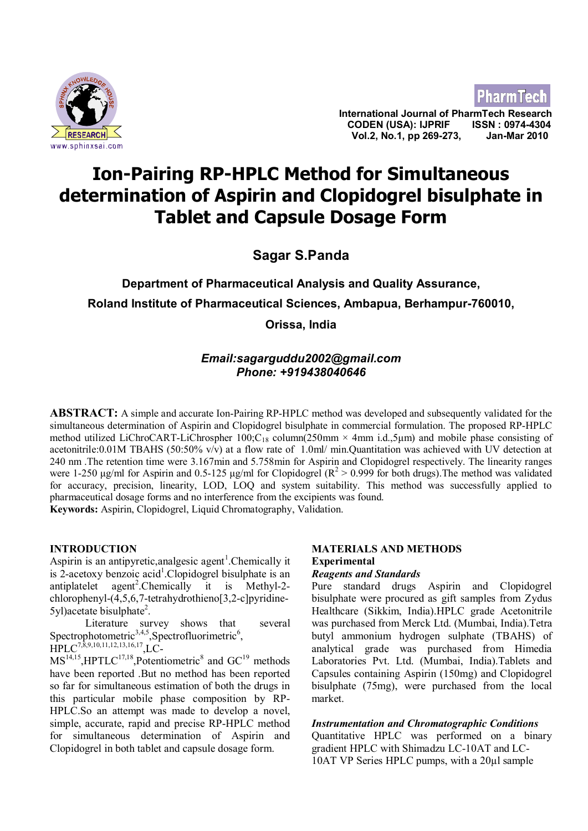

**International Journal of PharmTech Research CODEN (USA): IJPRIF ISSN : 0974-4304 Vol.2, No.1, pp 269-273, Jan-Mar 2010**

# **Ion-Pairing RP-HPLC Method for Simultaneous determination of Aspirin and Clopidogrel bisulphate in Tablet and Capsule Dosage Form**

**Sagar S.Panda**

**Department of Pharmaceutical Analysis and Quality Assurance, Roland Institute of Pharmaceutical Sciences, Ambapua, Berhampur-760010,**

**Orissa, India**

# *Email:sagarguddu2002@gmail.com Phone: +919438040646*

**ABSTRACT:** A simple and accurate Ion-Pairing RP-HPLC method was developed and subsequently validated for the simultaneous determination of Aspirin and Clopidogrel bisulphate in commercial formulation. The proposed RP-HPLC method utilized LiChroCART-LiChrospher  $100$ ; $C_{18}$  column(250mm × 4mm i.d.,5µm) and mobile phase consisting of acetonitrile:0.01M TBAHS (50:50% v/v) at a flow rate of 1.0ml/ min.Quantitation was achieved with UV detection at 240 nm .The retention time were 3.167min and 5.758min for Aspirin and Clopidogrel respectively. The linearity ranges were 1-250  $\mu$ g/ml for Aspirin and 0.5-125  $\mu$ g/ml for Clopidogrel (R<sup>2</sup> > 0.999 for both drugs). The method was validated for accuracy, precision, linearity, LOD, LOQ and system suitability. This method was successfully applied to pharmaceutical dosage forms and no interference from the excipients was found. **Keywords:** Aspirin, Clopidogrel, Liquid Chromatography, Validation.

market.

**INTRODUCTION**

Aspirin is an antipyretic, analgesic agent<sup>1</sup>. Chemically it is 2-acetoxy benzoic  $acid<sup>1</sup>$ . Clopidogrel bisulphate is an antiplatelet agent<sup>2</sup>.Chemically it is Methyl-2chlorophenyl-(4,5,6,7-tetrahydrothieno[3,2-c]pyridine-5yl) acetate bisulphate<sup>2</sup>.

Literature survey shows that several Spectrophotometric<sup>3,4,5</sup>, Spectrofluorimetric<sup>6</sup>,  $HPLC^{7,8,9,10,11,12,13,16,17}$  LC-

 $MS<sup>14,15</sup>, HPTLC<sup>17,18</sup>, Potentiometric<sup>8</sup> and GC<sup>19</sup> methods$ have been reported .But no method has been reported so far for simultaneous estimation of both the drugs in this particular mobile phase composition by RP-HPLC.So an attempt was made to develop a novel, simple, accurate, rapid and precise RP-HPLC method for simultaneous determination of Aspirin and Clopidogrel in both tablet and capsule dosage form.

# **MATERIALS AND METHODS Experimental**

*Reagents and Standards* Pure standard drugs Aspirin and Clopidogrel bisulphate were procured as gift samples from Zydus Healthcare (Sikkim, India).HPLC grade Acetonitrile was purchased from Merck Ltd. (Mumbai, India).Tetra butyl ammonium hydrogen sulphate (TBAHS) of analytical grade was purchased from Himedia Laboratories Pvt. Ltd. (Mumbai, India).Tablets and Capsules containing Aspirin (150mg) and Clopidogrel bisulphate (75mg), were purchased from the local

*Instrumentation and Chromatographic Conditions*

Quantitative HPLC was performed on a binary gradient HPLC with Shimadzu LC-10AT and LC-10AT VP Series HPLC pumps, with a 20µl sample

**Pharm**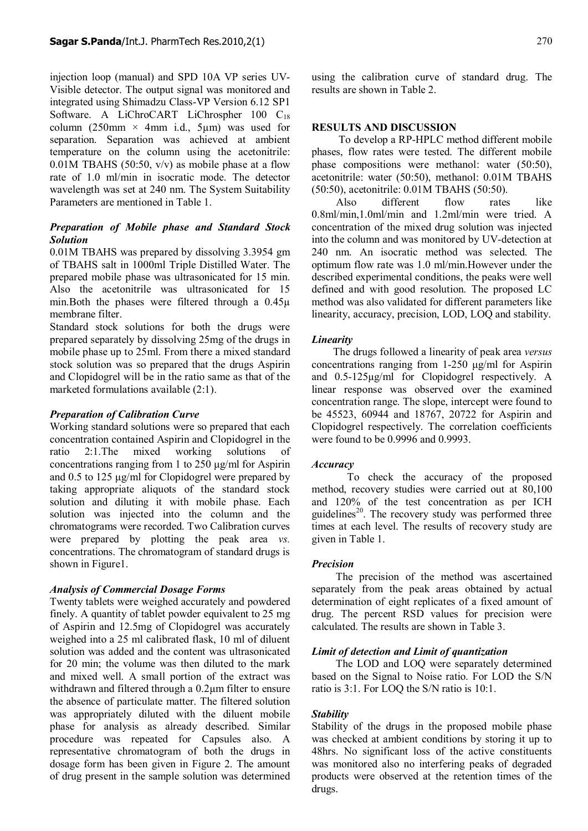injection loop (manual) and SPD 10A VP series UV-Visible detector. The output signal was monitored and integrated using Shimadzu Class-VP Version 6.12 SP1 Software. A LiChroCART LiChrospher 100 C<sup>18</sup> column (250mm  $\times$  4mm i.d., 5µm) was used for separation. Separation was achieved at ambient temperature on the column using the acetonitrile:  $0.01M$  TBAHS (50:50, v/v) as mobile phase at a flow rate of 1.0 ml/min in isocratic mode. The detector wavelength was set at 240 nm. The System Suitability Parameters are mentioned in Table 1.

## *Preparation of Mobile phase and Standard Stock Solution*

0.01M TBAHS was prepared by dissolving 3.3954 gm of TBAHS salt in 1000ml Triple Distilled Water. The prepared mobile phase was ultrasonicated for 15 min. Also the acetonitrile was ultrasonicated for 15 min.Both the phases were filtered through a 0.45µ membrane filter.

Standard stock solutions for both the drugs were prepared separately by dissolving 25mg of the drugs in mobile phase up to 25ml. From there a mixed standard stock solution was so prepared that the drugs Aspirin and Clopidogrel will be in the ratio same as that of the marketed formulations available (2:1).

#### *Preparation of Calibration Curve*

Working standard solutions were so prepared that each concentration contained Aspirin and Clopidogrel in the ratio 2:1.The mixed working solutions of concentrations ranging from 1 to 250 μg/ml for Aspirin and 0.5 to 125 μg/ml for Clopidogrel were prepared by taking appropriate aliquots of the standard stock solution and diluting it with mobile phase. Each solution was injected into the column and the chromatograms were recorded. Two Calibration curves were prepared by plotting the peak area *vs.* concentrations. The chromatogram of standard drugs is shown in Figure1.

#### *Analysis of Commercial Dosage Forms*

Twenty tablets were weighed accurately and powdered finely. A quantity of tablet powder equivalent to 25 mg of Aspirin and 12.5mg of Clopidogrel was accurately weighed into a 25 ml calibrated flask, 10 ml of diluent solution was added and the content was ultrasonicated for 20 min; the volume was then diluted to the mark and mixed well. A small portion of the extract was withdrawn and filtered through a 0.2μm filter to ensure the absence of particulate matter. The filtered solution was appropriately diluted with the diluent mobile phase for analysis as already described. Similar procedure was repeated for Capsules also. A representative chromatogram of both the drugs in dosage form has been given in Figure 2. The amount of drug present in the sample solution was determined using the calibration curve of standard drug. The results are shown in Table 2.

#### **RESULTS AND DISCUSSION**

 To develop a RP-HPLC method different mobile phases, flow rates were tested. The different mobile phase compositions were methanol: water (50:50), acetonitrile: water (50:50), methanol: 0.01M TBAHS (50:50), acetonitrile: 0.01M TBAHS (50:50).

 Also different flow rates like 0.8ml/min,1.0ml/min and 1.2ml/min were tried. A concentration of the mixed drug solution was injected into the column and was monitored by UV-detection at 240 nm. An isocratic method was selected. The optimum flow rate was 1.0 ml/min.However under the described experimental conditions, the peaks were well defined and with good resolution. The proposed LC method was also validated for different parameters like linearity, accuracy, precision, LOD, LOQ and stability.

#### *Linearity*

 The drugs followed a linearity of peak area *versus* concentrations ranging from 1-250 μg/ml for Aspirin and 0.5-125μg/ml for Clopidogrel respectively. A linear response was observed over the examined concentration range. The slope, intercept were found to be 45523, 60944 and 18767, 20722 for Aspirin and Clopidogrel respectively. The correlation coefficients were found to be 0.9996 and 0.9993.

#### *Accuracy*

To check the accuracy of the proposed method, recovery studies were carried out at 80,100 and 120% of the test concentration as per ICH guidelines<sup>20</sup>. The recovery study was performed three times at each level. The results of recovery study are given in Table 1.

#### *Precision*

 The precision of the method was ascertained separately from the peak areas obtained by actual determination of eight replicates of a fixed amount of drug. The percent RSD values for precision were calculated. The results are shown in Table 3.

#### *Limit of detection and Limit of quantization*

 The LOD and LOQ were separately determined based on the Signal to Noise ratio. For LOD the S/N ratio is 3:1. For LOQ the S/N ratio is 10:1.

#### *Stability*

Stability of the drugs in the proposed mobile phase was checked at ambient conditions by storing it up to 48hrs. No significant loss of the active constituents was monitored also no interfering peaks of degraded products were observed at the retention times of the drugs.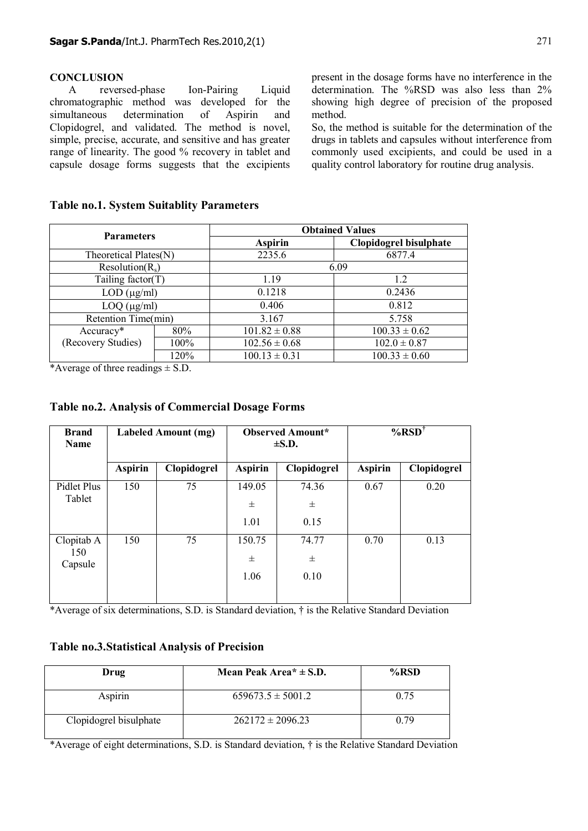#### **CONCLUSION**

 A reversed-phase Ion-Pairing Liquid chromatographic method was developed for the simultaneous determination of Aspirin and Clopidogrel, and validated. The method is novel, simple, precise, accurate, and sensitive and has greater range of linearity. The good % recovery in tablet and capsule dosage forms suggests that the excipients present in the dosage forms have no interference in the determination. The %RSD was also less than 2% showing high degree of precision of the proposed method.

So, the method is suitable for the determination of the drugs in tablets and capsules without interference from commonly used excipients, and could be used in a quality control laboratory for routine drug analysis.

| <b>Parameters</b>           |      | <b>Obtained Values</b> |                        |  |  |
|-----------------------------|------|------------------------|------------------------|--|--|
|                             |      | <b>Aspirin</b>         | Clopidogrel bisulphate |  |  |
| Theoretical Plates(N)       |      | 2235.6                 | 6877.4                 |  |  |
| Resolution(R <sub>s</sub> ) |      | 6.09                   |                        |  |  |
| Tailing factor(T)           |      | 1.19                   | 1.2                    |  |  |
| $LOD$ ( $\mu$ g/ml)         |      | 0.1218                 | 0.2436                 |  |  |
| $LOQ$ ( $\mu$ g/ml)         |      | 0.406                  | 0.812                  |  |  |
| Retention Time(min)         |      | 3.167                  | 5.758                  |  |  |
| $Accuracy^*$                | 80%  | $101.82 \pm 0.88$      | $100.33 \pm 0.62$      |  |  |
| (Recovery Studies)          | 100% | $102.56 \pm 0.68$      | $102.0 \pm 0.87$       |  |  |
|                             | 120% | $100.13 \pm 0.31$      | $100.33 \pm 0.60$      |  |  |

# **Table no.1. System Suitablity Parameters**

\*Average of three readings  $\pm$  S.D.

# **Table no.2. Analysis of Commercial Dosage Forms**

| <b>Brand</b><br><b>Name</b>  | Labeled Amount (mg) |             | <b>Observed Amount*</b><br>$\pm$ S.D. |                        | $\%RSD$ <sup>†</sup> |             |
|------------------------------|---------------------|-------------|---------------------------------------|------------------------|----------------------|-------------|
|                              | <b>Aspirin</b>      | Clopidogrel | <b>Aspirin</b>                        | Clopidogrel            | <b>Aspirin</b>       | Clopidogrel |
| Pidlet Plus<br>Tablet        | 150                 | 75          | 149.05<br>士                           | 74.36<br>$\pm$         | 0.67                 | 0.20        |
|                              |                     |             | 1.01                                  | 0.15                   |                      |             |
| Clopitab A<br>150<br>Capsule | 150                 | 75          | 150.75<br>$\pm$<br>1.06               | 74.77<br>$\pm$<br>0.10 | 0.70                 | 0.13        |

\*Average of six determinations, S.D. is Standard deviation, † is the Relative Standard Deviation

## **Table no.3.Statistical Analysis of Precision**

| Drug                   | Mean Peak Area <sup>*</sup> $\pm$ S.D. | %RSD |
|------------------------|----------------------------------------|------|
| Aspirin                | $659673.5 \pm 5001.2$                  | 0.75 |
| Clopidogrel bisulphate | $262172 \pm 2096.23$                   | 0.79 |

\*Average of eight determinations, S.D. is Standard deviation, † is the Relative Standard Deviation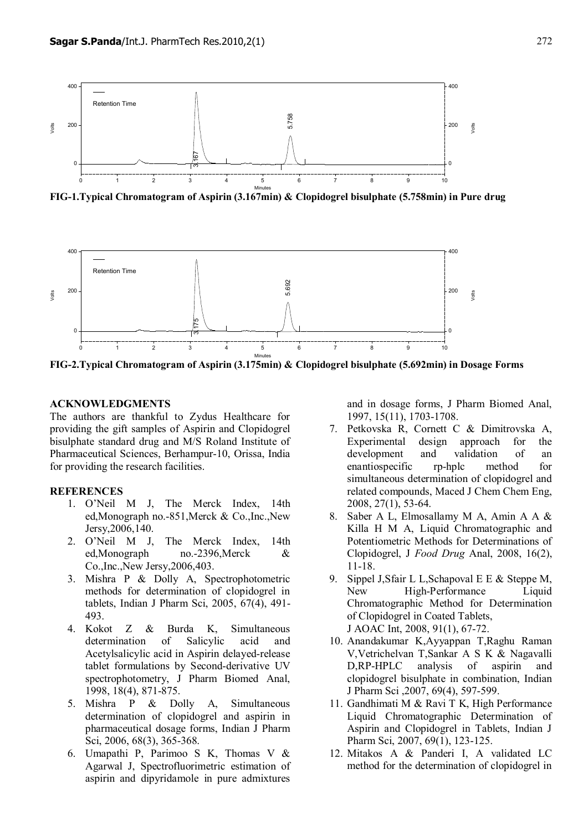

**FIG-1.Typical Chromatogram of Aspirin (3.167min) & Clopidogrel bisulphate (5.758min) in Pure drug**



**FIG-2.Typical Chromatogram of Aspirin (3.175min) & Clopidogrel bisulphate (5.692min) in Dosage Forms**

#### **ACKNOWLEDGMENTS**

The authors are thankful to Zydus Healthcare for providing the gift samples of Aspirin and Clopidogrel bisulphate standard drug and M/S Roland Institute of Pharmaceutical Sciences, Berhampur-10, Orissa, India for providing the research facilities.

# **REFERENCES**

- 1. O'Neil M J, The Merck Index, 14th ed,Monograph no.-851,Merck & Co.,Inc.,New Jersy,2006,140.
- 2. O'Neil M J, The Merck Index, 14th ed,Monograph no.-2396,Merck & Co.,Inc.,New Jersy,2006,403.
- 3. Mishra P & Dolly A, Spectrophotometric methods for determination of clopidogrel in tablets, Indian J Pharm Sci, 2005, 67(4), 491- 493.
- 4. Kokot Z & Burda K, Simultaneous determination of Salicylic acid and Acetylsalicylic acid in Aspirin delayed-release tablet formulations by Second-derivative UV spectrophotometry, J Pharm Biomed Anal, 1998, 18(4), 871-875.
- 5. Mishra P & Dolly A, Simultaneous determination of clopidogrel and aspirin in pharmaceutical dosage forms, Indian J Pharm Sci, 2006, 68(3), 365-368.
- 6. Umapathi P, Parimoo S K, Thomas V & Agarwal J, Spectrofluorimetric estimation of aspirin and dipyridamole in pure admixtures

and in dosage forms, J Pharm Biomed Anal, 1997, 15(11), 1703-1708.

- 7. Petkovska R, Cornett C & Dimitrovska A, Experimental design approach for the development and validation of an enantiospecific rp-hplc method for simultaneous determination of clopidogrel and related compounds, Maced J Chem Chem Eng, 2008, 27(1), 53-64.
- 8. Saber A L, Elmosallamy M A, Amin A A & Killa H M A, Liquid Chromatographic and Potentiometric Methods for Determinations of Clopidogrel, J *Food Drug* Anal, 2008, 16(2), 11-18.
- 9. Sippel J,Sfair L L,Schapoval E E & Steppe M, New High-Performance Liquid Chromatographic Method for Determination of Clopidogrel in Coated Tablets, J AOAC Int, 2008, 91(1), 67-72.
- 10. Anandakumar K,Ayyappan T,Raghu Raman V,Vetrichelvan T,Sankar A S K & Nagavalli D,RP-HPLC analysis of aspirin and clopidogrel bisulphate in combination, Indian J Pharm Sci ,2007, 69(4), 597-599.
- 11. Gandhimati M & Ravi T K, High Performance Liquid Chromatographic Determination of Aspirin and Clopidogrel in Tablets, Indian J Pharm Sci, 2007, 69(1), 123-125.
- 12. Mitakos A & Panderi I, A validated LC method for the determination of clopidogrel in